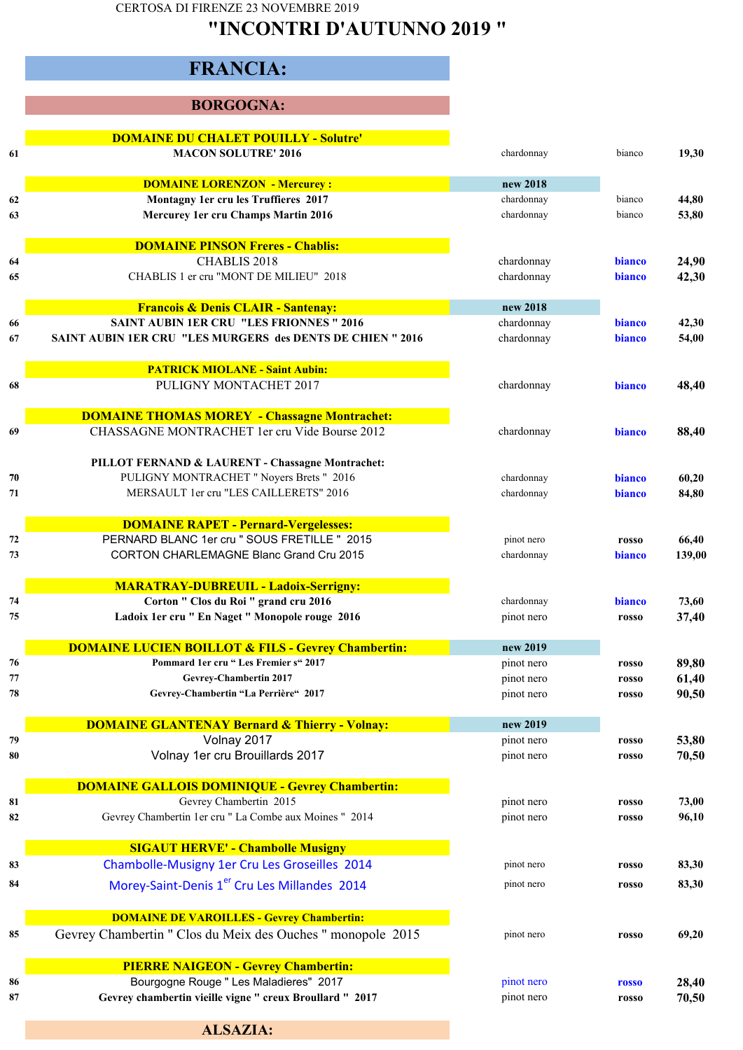CERTOSA DI FIRENZE 23 NOVEMBRE 2019

## **"INCONTRI D'AUTUNNO 2019 "**

# **FRANCIA:**

#### **BORGOGNA:**

|          | <b>DOMAINE DU CHALET POUILLY - Solutre'</b>                                                        |                          |                |                |
|----------|----------------------------------------------------------------------------------------------------|--------------------------|----------------|----------------|
| 61       | <b>MACON SOLUTRE' 2016</b>                                                                         | chardonnay               | bianco         | 19,30          |
|          | <b>DOMAINE LORENZON - Mercurey:</b>                                                                | new 2018                 |                |                |
| 62       | Montagny 1er cru les Truffieres 2017                                                               | chardonnay               | bianco         | 44,80          |
| 63       | Mercurey 1er cru Champs Martin 2016                                                                | chardonnay               | bianco         | 53,80          |
|          | <b>DOMAINE PINSON Freres - Chablis:</b>                                                            |                          |                |                |
| 64       | CHABLIS 2018                                                                                       | chardonnay               | bianco         | 24,90          |
| 65       | CHABLIS 1 er cru "MONT DE MILIEU" 2018                                                             | chardonnay               | bianco         | 42,30          |
|          | <b>Francois &amp; Denis CLAIR - Santenay:</b>                                                      | new 2018                 |                |                |
| 66       | <b>SAINT AUBIN 1ER CRU "LES FRIONNES" 2016</b>                                                     | chardonnay               | bianco         | 42,30          |
| 67       | <b>SAINT AUBIN 1ER CRU "LES MURGERS des DENTS DE CHIEN" 2016</b>                                   | chardonnay               | bianco         | 54,00          |
|          | <b>PATRICK MIOLANE - Saint Aubin:</b>                                                              |                          |                |                |
| 68       | PULIGNY MONTACHET 2017                                                                             | chardonnay               | bianco         | 48,40          |
|          | <b>DOMAINE THOMAS MOREY - Chassagne Montrachet:</b>                                                |                          |                |                |
| 69       | CHASSAGNE MONTRACHET 1er cru Vide Bourse 2012                                                      | chardonnay               | bianco         | 88,40          |
|          | PILLOT FERNAND & LAURENT - Chassagne Montrachet:                                                   |                          |                |                |
| 70       | PULIGNY MONTRACHET " Noyers Brets " 2016                                                           | chardonnay               | bianco         | 60,20          |
| 71       | MERSAULT 1er cru "LES CAILLERETS" 2016                                                             | chardonnay               | bianco         | 84,80          |
|          | <b>DOMAINE RAPET - Pernard-Vergelesses:</b>                                                        |                          |                |                |
| 72       | PERNARD BLANC 1er cru " SOUS FRETILLE " 2015                                                       | pinot nero               | rosso          | 66,40          |
| 73       | <b>CORTON CHARLEMAGNE Blanc Grand Cru 2015</b>                                                     | chardonnay               | bianco         | 139,00         |
|          | <b>MARATRAY-DUBREUIL - Ladoix-Serrigny:</b>                                                        |                          |                |                |
| 74       | Corton " Clos du Roi " grand cru 2016                                                              | chardonnay               | <b>bianco</b>  | 73,60          |
| 75       | Ladoix 1er cru " En Naget " Monopole rouge 2016                                                    | pinot nero               | rosso          | 37,40          |
|          | <b>DOMAINE LUCIEN BOILLOT &amp; FILS - Gevrey Chambertin:</b>                                      | new 2019                 |                |                |
| 76       | Pommard 1er cru "Les Fremier s" 2017                                                               | pinot nero               | rosso          | 89,80          |
| 77       | Gevrey-Chambertin 2017                                                                             | pinot nero               | rosso          | 61,40          |
| 78       | Gevrey-Chambertin "La Perrière" 2017                                                               | pinot nero               | rosso          | 90,50          |
|          | <b>DOMAINE GLANTENAY Bernard &amp; Thierry - Volnay:</b>                                           | new 2019                 |                |                |
| 79       | Volnay 2017                                                                                        | pinot nero               | rosso          | 53,80          |
| 80       | Volnay 1er cru Brouillards 2017                                                                    | pinot nero               | rosso          | 70,50          |
|          | <b>DOMAINE GALLOIS DOMINIQUE - Gevrey Chambertin:</b>                                              |                          |                |                |
| 81       | Gevrey Chambertin 2015                                                                             | pinot nero               | rosso          | 73,00          |
| 82       | Gevrey Chambertin 1er cru " La Combe aux Moines " 2014                                             | pinot nero               | rosso          | 96,10          |
|          | <b>SIGAUT HERVE' - Chambolle Musigny</b>                                                           |                          |                |                |
| 83       | Chambolle-Musigny 1er Cru Les Groseilles 2014                                                      | pinot nero               | rosso          | 83,30          |
| 84       | Morey-Saint-Denis 1 <sup>er</sup> Cru Les Millandes 2014                                           | pinot nero               | rosso          | 83,30          |
|          | <b>DOMAINE DE VAROILLES - Gevrey Chambertin:</b>                                                   |                          |                |                |
|          |                                                                                                    |                          |                |                |
| 85       | Gevrey Chambertin " Clos du Meix des Ouches " monopole 2015                                        | pinot nero               | rosso          | 69,20          |
|          |                                                                                                    |                          |                |                |
|          | <b>PIERRE NAIGEON - Gevrey Chambertin:</b>                                                         |                          |                |                |
| 86<br>87 | Bourgogne Rouge " Les Maladieres" 2017<br>Gevrey chambertin vieille vigne " creux Broullard " 2017 | pinot nero<br>pinot nero | rosso<br>rosso | 28,40<br>70,50 |

**ALSAZIA:**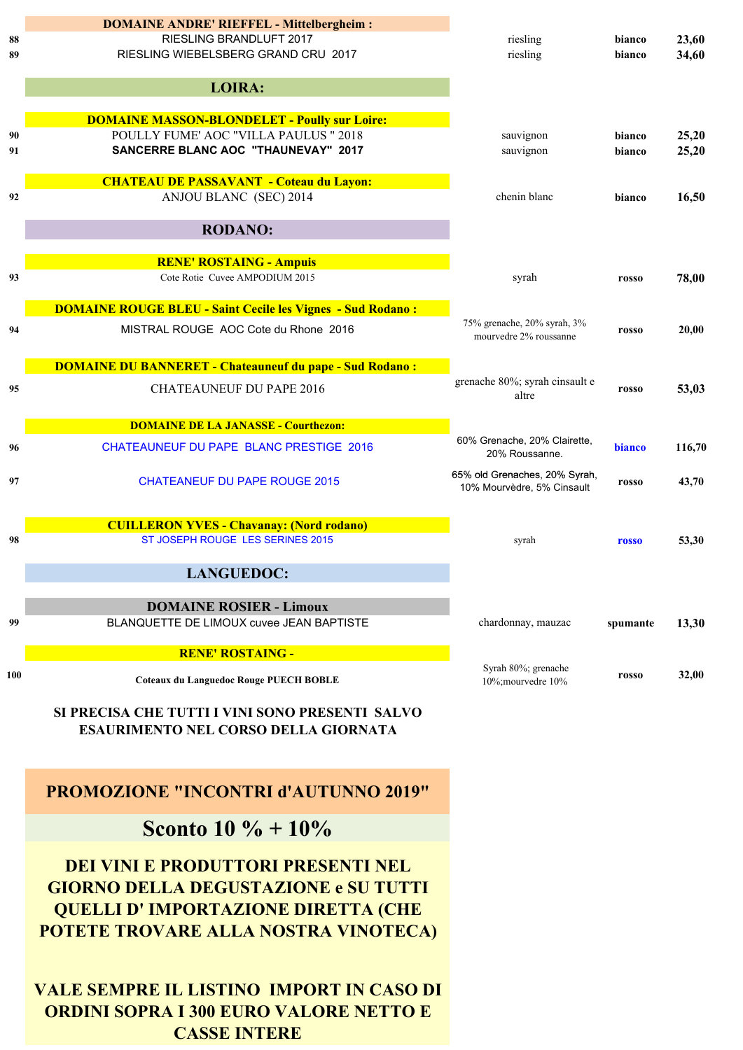|     | <b>DOMAINE ANDRE' RIEFFEL - Mittelbergheim:</b>                   |                                                       |          |        |
|-----|-------------------------------------------------------------------|-------------------------------------------------------|----------|--------|
| 88  | RIESLING BRANDLUFT 2017                                           | riesling                                              | bianco   | 23,60  |
| 89  | RIESLING WIEBELSBERG GRAND CRU 2017                               | riesling                                              | bianco   | 34,60  |
|     | <b>LOIRA:</b>                                                     |                                                       |          |        |
|     |                                                                   |                                                       |          |        |
|     | <b>DOMAINE MASSON-BLONDELET - Poully sur Loire:</b>               |                                                       |          |        |
| 90  | POULLY FUME' AOC "VILLA PAULUS " 2018                             | sauvignon                                             | bianco   | 25,20  |
| 91  | <b>SANCERRE BLANC AOC "THAUNEVAY" 2017</b>                        | sauvignon                                             | bianco   | 25,20  |
|     | <b>CHATEAU DE PASSAVANT - Coteau du Layon:</b>                    |                                                       |          |        |
| 92  | ANJOU BLANC (SEC) 2014                                            | chenin blanc                                          | bianco   | 16,50  |
|     | <b>RODANO:</b>                                                    |                                                       |          |        |
|     | <b>RENE' ROSTAING - Ampuis</b>                                    |                                                       |          |        |
| 93  | Cote Rotie Cuvee AMPODIUM 2015                                    | syrah                                                 | rosso    | 78,00  |
|     | <b>DOMAINE ROUGE BLEU - Saint Cecile les Vignes - Sud Rodano:</b> |                                                       |          |        |
| 94  | MISTRAL ROUGE AOC Cote du Rhone 2016                              | 75% grenache, 20% syrah, 3%<br>mourvedre 2% roussanne | rosso    | 20,00  |
|     |                                                                   |                                                       |          |        |
|     | <b>DOMAINE DU BANNERET - Chateauneuf du pape - Sud Rodano:</b>    |                                                       |          |        |
| 95  | <b>CHATEAUNEUF DU PAPE 2016</b>                                   | grenache 80%; syrah cinsault e<br>altre               | rosso    | 53,03  |
|     | <b>DOMAINE DE LA JANASSE - Courthezon:</b>                        |                                                       |          |        |
| 96  | CHATEAUNEUF DU PAPE BLANC PRESTIGE 2016                           | 60% Grenache, 20% Clairette,<br>20% Roussanne.        | bianco   | 116,70 |
| 97  | <b>CHATEANEUF DU PAPE ROUGE 2015</b>                              | 65% old Grenaches, 20% Syrah,                         | rosso    | 43,70  |
|     |                                                                   | 10% Mourvèdre, 5% Cinsault                            |          |        |
|     | <b>CUILLERON YVES - Chavanay: (Nord rodano)</b>                   |                                                       |          |        |
| 98  | ST JOSEPH ROUGE LES SERINES 2015                                  | syrah                                                 | rosso    | 53,30  |
|     | <b>LANGUEDOC:</b>                                                 |                                                       |          |        |
|     |                                                                   |                                                       |          |        |
|     | <b>DOMAINE ROSIER - Limoux</b>                                    |                                                       |          |        |
| 99  | BLANQUETTE DE LIMOUX cuvee JEAN BAPTISTE                          | chardonnay, mauzac                                    | spumante | 13,30  |
|     | <b>RENE' ROSTAING -</b>                                           |                                                       |          |        |
| 100 | <b>Coteaux du Languedoc Rouge PUECH BOBLE</b>                     | Syrah 80%; grenache<br>10%; mourvedre 10%             | rosso    | 32,00  |
|     | SI PRECISA CHE TUTTI I VINI SONO PRESENTI SALVO                   |                                                       |          |        |
|     |                                                                   |                                                       |          |        |

**ESAURIMENTO NEL CORSO DELLA GIORNATA**

### **PROMOZIONE "INCONTRI d'AUTUNNO 2019"**

**Sconto 10 % + 10%**

**DEI VINI E PRODUTTORI PRESENTI NEL GIORNO DELLA DEGUSTAZIONE e SU TUTTI QUELLI D' IMPORTAZIONE DIRETTA (CHE POTETE TROVARE ALLA NOSTRA VINOTECA)**

**VALE SEMPRE IL LISTINO IMPORT IN CASO DI ORDINI SOPRA I 300 EURO VALORE NETTO E CASSE INTERE**